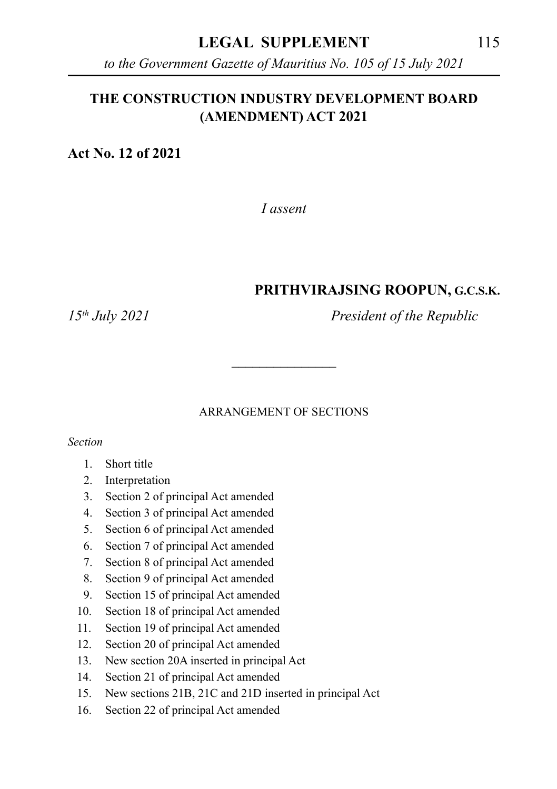#### **LEGAL SUPPLEMENT** 115

*to the Government Gazette of Mauritius No. 105 of 15 July 2021*

#### **THE CONSTRUCTION INDUSTRY DEVELOPMENT BOARD (AMENDMENT) ACT 2021**

**Act No. 12 of 2021**

*I assent*

#### **PRITHVIRAJSING ROOPUN, G.C.S.K.**

*15th July 2021 President of the Republic*

#### ARRANGEMENT OF SECTIONS

\_\_\_\_\_\_\_\_\_\_\_\_\_\_\_

*Section*

- 1. Short title
- 2. Interpretation
- 3. Section 2 of principal Act amended
- 4. Section 3 of principal Act amended
- 5. Section 6 of principal Act amended
- 6. Section 7 of principal Act amended
- 7. Section 8 of principal Act amended
- 8. Section 9 of principal Act amended
- 9. Section 15 of principal Act amended
- 10. Section 18 of principal Act amended
- 11. Section 19 of principal Act amended
- 12. Section 20 of principal Act amended
- 13. New section 20A inserted in principal Act
- 14. Section 21 of principal Act amended
- 15. New sections 21B, 21C and 21D inserted in principal Act
- 16. Section 22 of principal Act amended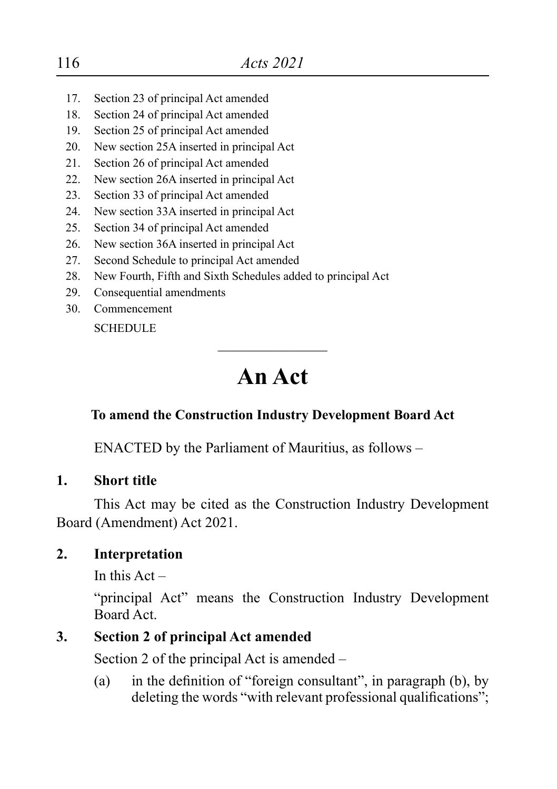- 17. Section 23 of principal Act amended
- 18. Section 24 of principal Act amended
- 19. Section 25 of principal Act amended
- 20. New section 25A inserted in principal Act
- 21. Section 26 of principal Act amended
- 22. New section 26A inserted in principal Act
- 23. Section 33 of principal Act amended
- 24. New section 33A inserted in principal Act
- 25. Section 34 of principal Act amended
- 26. New section 36A inserted in principal Act
- 27. Second Schedule to principal Act amended
- 28. New Fourth, Fifth and Sixth Schedules added to principal Act
- 29. Consequential amendments
- 30. Commencement

**SCHEDULE** 

# **An Act**

 $\overline{\phantom{a}}$  , where  $\overline{\phantom{a}}$ 

# **To amend the Construction Industry Development Board Act**

ENACTED by the Parliament of Mauritius, as follows –

# **1. Short title**

This Act may be cited as the Construction Industry Development Board (Amendment) Act 2021.

# **2. Interpretation**

In this  $Act -$ 

"principal Act" means the Construction Industry Development Board Act.

# **3. Section 2 of principal Act amended**

Section 2 of the principal Act is amended –

(a) in the definition of "foreign consultant", in paragraph (b), by deleting the words "with relevant professional qualifications":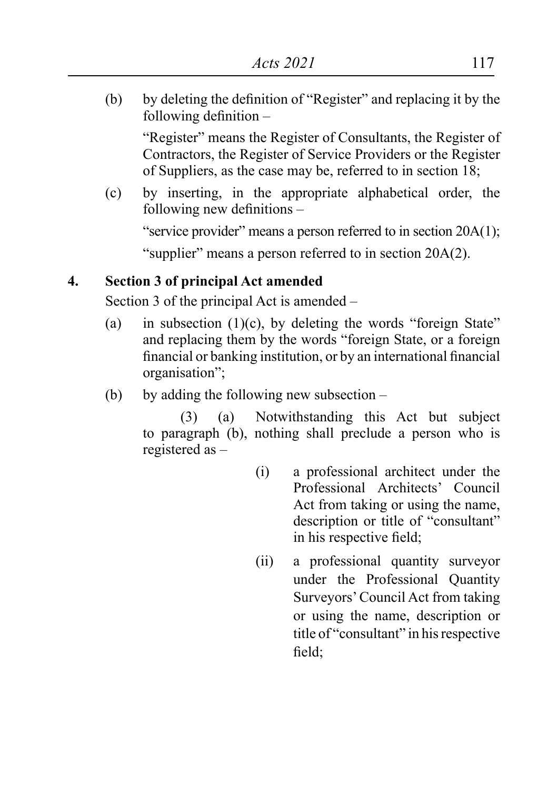(b) by deleting the definition of "Register" and replacing it by the following definition –

"Register" means the Register of Consultants, the Register of Contractors, the Register of Service Providers or the Register of Suppliers, as the case may be, referred to in section 18;

(c) by inserting, in the appropriate alphabetical order, the following new definitions –

"service provider" means a person referred to in section 20A(1);

"supplier" means a person referred to in section 20A(2).

#### **4. Section 3 of principal Act amended**

Section 3 of the principal Act is amended –

- (a) in subsection  $(1)(c)$ , by deleting the words "foreign State" and replacing them by the words "foreign State, or a foreign financial or banking institution, or by an international financial organisation";
- (b) by adding the following new subsection  $-$

(3) (a) Notwithstanding this Act but subject to paragraph (b), nothing shall preclude a person who is registered as –

- (i) a professional architect under the Professional Architects' Council Act from taking or using the name, description or title of "consultant" in his respective field;
- (ii) a professional quantity surveyor under the Professional Quantity Surveyors'Council Act from taking or using the name, description or title of "consultant" in his respective field;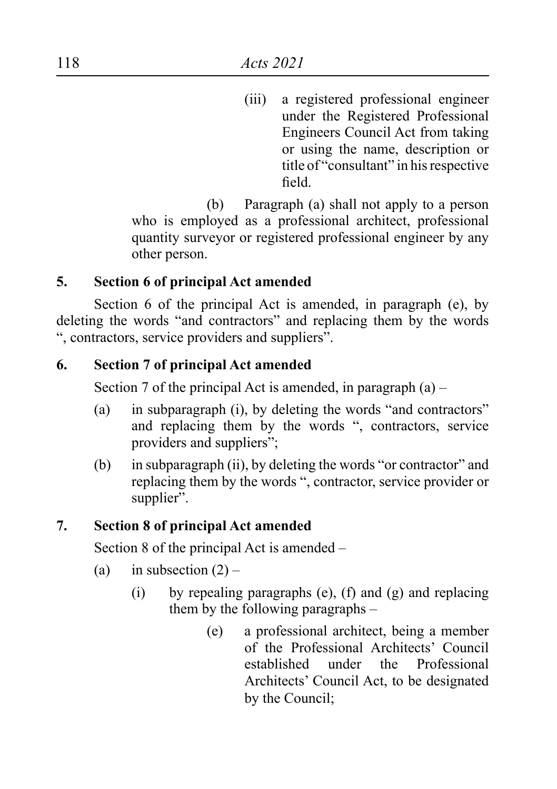(iii) a registered professional engineer under the Registered Professional Engineers Council Act from taking or using the name, description or title of "consultant" in his respective field.

 (b) Paragraph (a) shall not apply to a person who is employed as a professional architect, professional quantity surveyor or registered professional engineer by any other person.

#### **5. Section 6 of principal Act amended**

Section 6 of the principal Act is amended, in paragraph (e), by deleting the words "and contractors" and replacing them by the words ", contractors, service providers and suppliers".

#### **6. Section 7 of principal Act amended**

Section 7 of the principal Act is amended, in paragraph  $(a)$  –

- (a) in subparagraph (i), by deleting the words "and contractors" and replacing them by the words ", contractors, service providers and suppliers";
- (b) in subparagraph (ii), by deleting the words "or contractor" and replacing them by the words ", contractor, service provider or supplier".

#### **7. Section 8 of principal Act amended**

Section 8 of the principal Act is amended –

- (a) in subsection  $(2)$ 
	- (i) by repealing paragraphs (e), (f) and (g) and replacing them by the following paragraphs –
		- (e) a professional architect, being a member of the Professional Architects' Council established under the Professional Architects' Council Act, to be designated by the Council;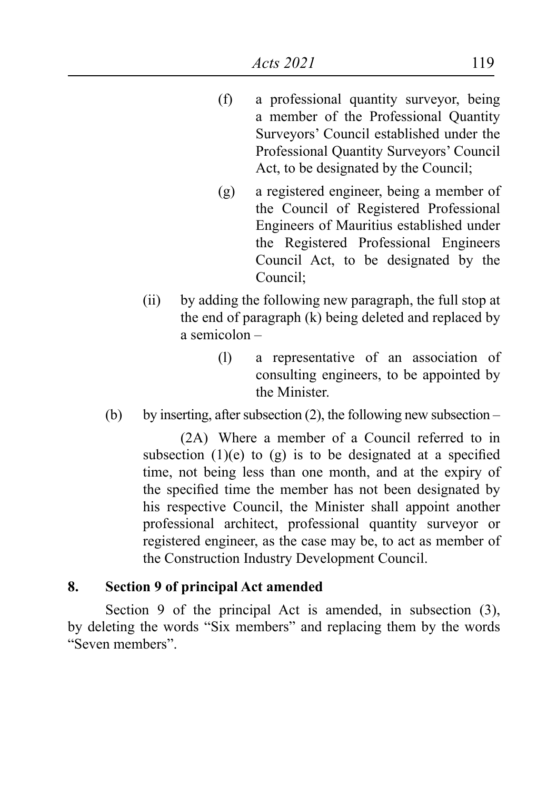- (f) a professional quantity surveyor, being a member of the Professional Quantity Surveyors' Council established under the Professional Quantity Surveyors' Council Act, to be designated by the Council;
- (g) a registered engineer, being a member of the Council of Registered Professional Engineers of Mauritius established under the Registered Professional Engineers Council Act, to be designated by the Council;
- (ii) by adding the following new paragraph, the full stop at the end of paragraph (k) being deleted and replaced by a semicolon –
	- (l) a representative of an association of consulting engineers, to be appointed by the Minister.
- (b) by inserting, after subsection  $(2)$ , the following new subsection –

(2A) Where a member of a Council referred to in subsection  $(1)(e)$  to  $(g)$  is to be designated at a specified time, not being less than one month, and at the expiry of the specified time the member has not been designated by his respective Council, the Minister shall appoint another professional architect, professional quantity surveyor or registered engineer, as the case may be, to act as member of the Construction Industry Development Council.

#### **8. Section 9 of principal Act amended**

Section 9 of the principal Act is amended, in subsection (3), by deleting the words "Six members" and replacing them by the words "Seven members".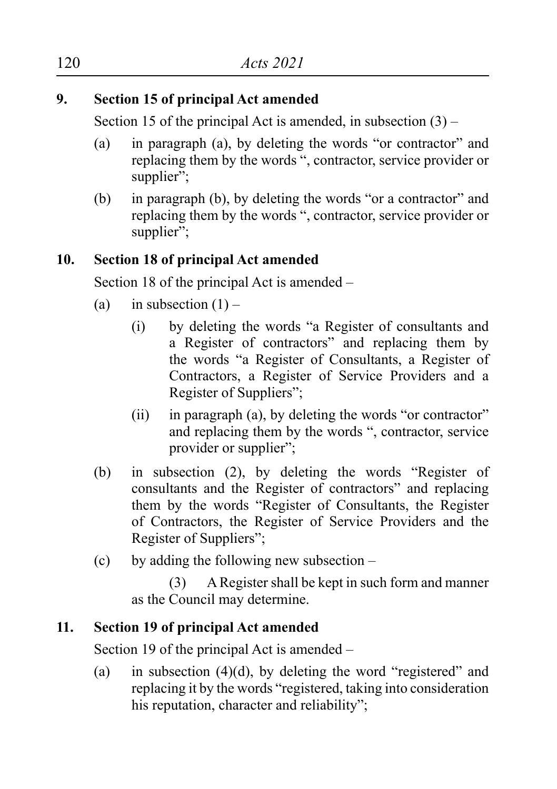# **9. Section 15 of principal Act amended**

Section 15 of the principal Act is amended, in subsection  $(3)$  –

- (a) in paragraph (a), by deleting the words "or contractor" and replacing them by the words ", contractor, service provider or supplier":
- (b) in paragraph (b), by deleting the words "or a contractor" and replacing them by the words ", contractor, service provider or supplier":

# **10. Section 18 of principal Act amended**

Section 18 of the principal Act is amended –

- (a) in subsection  $(1)$ 
	- (i) by deleting the words "a Register of consultants and a Register of contractors" and replacing them by the words "a Register of Consultants, a Register of Contractors, a Register of Service Providers and a Register of Suppliers";
	- $(ii)$  in paragraph (a), by deleting the words "or contractor" and replacing them by the words ", contractor, service provider or supplier";
- (b) in subsection (2), by deleting the words "Register of consultants and the Register of contractors" and replacing them by the words "Register of Consultants, the Register of Contractors, the Register of Service Providers and the Register of Suppliers";
- (c) by adding the following new subsection  $-$

(3) ARegister shall be kept in such form and manner as the Council may determine.

# **11. Section 19 of principal Act amended**

Section 19 of the principal Act is amended –

(a) in subsection  $(4)(d)$ , by deleting the word "registered" and replacing it by the words "registered, taking into consideration his reputation, character and reliability":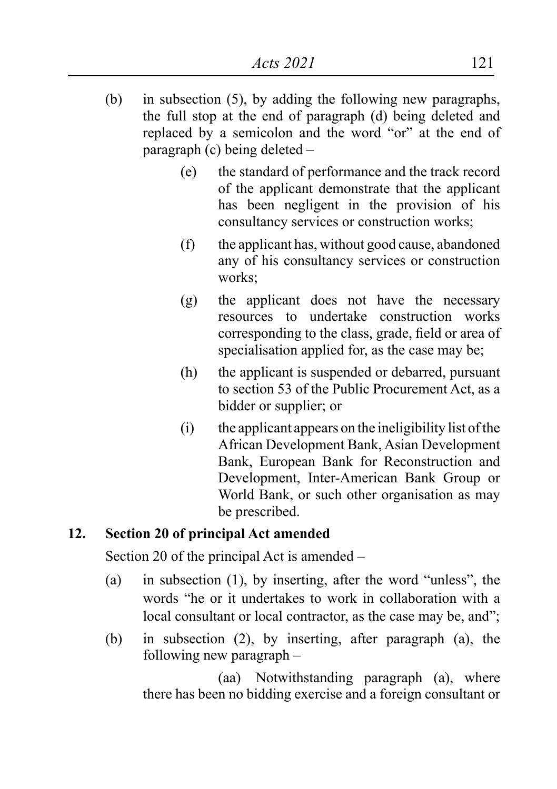- (b) in subsection  $(5)$ , by adding the following new paragraphs, the full stop at the end of paragraph (d) being deleted and replaced by a semicolon and the word "or" at the end of paragraph (c) being deleted –
	- (e) the standard of performance and the track record of the applicant demonstrate that the applicant has been negligent in the provision of his consultancy services or construction works;
	- $(f)$  the applicant has, without good cause, abandoned any of his consultancy services or construction works;
	- (g) the applicant does not have the necessary resources to undertake construction works corresponding to the class, grade, field or area of specialisation applied for, as the case may be;
	- (h) the applicant is suspended or debarred, pursuant to section 53 of the Public Procurement Act, as a bidder or supplier; or
	- $(i)$  the applicant appears on the ineligibility list of the African Development Bank, Asian Development Bank, European Bank for Reconstruction and Development, Inter-American Bank Group or World Bank, or such other organisation as may be prescribed.

# **12. Section 20 of principal Act amended**

Section 20 of the principal Act is amended –

- (a) in subsection  $(1)$ , by inserting, after the word "unless", the words "he or it undertakes to work in collaboration with a local consultant or local contractor, as the case may be, and";
- (b) in subsection  $(2)$ , by inserting, after paragraph  $(a)$ , the following new paragraph –

(aa) Notwithstanding paragraph (a), where there has been no bidding exercise and a foreign consultant or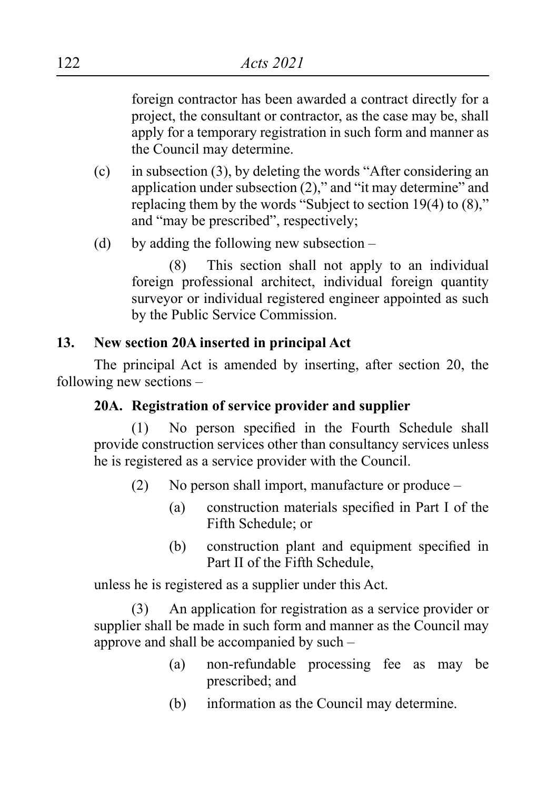foreign contractor has been awarded a contract directly for a project, the consultant or contractor, as the case may be, shall apply for a temporary registration in such form and manner as the Council may determine.

- $(c)$  in subsection (3), by deleting the words "After considering an application under subsection (2)," and "it may determine" and replacing them by the words "Subject to section 19(4) to (8)," and "may be prescribed", respectively;
- (d) by adding the following new subsection  $-$

(8) This section shall not apply to an individual foreign professional architect, individual foreign quantity surveyor or individual registered engineer appointed as such by the Public Service Commission.

#### **13. New section 20A inserted in principal Act**

The principal Act is amended by inserting, after section 20, the following new sections –

#### **20A. Registration of service provider and supplier**

(1) No person specified in the Fourth Schedule shall provide construction services other than consultancy services unless he is registered as a service provider with the Council.

- (2) No person shall import, manufacture or produce
	- (a) construction materials specified in Part I of the Fifth Schedule; or
	- (b) construction plant and equipment specified in Part II of the Fifth Schedule,

unless he is registered as a supplier under this Act.

(3) An application for registration as a service provider or supplier shall be made in such form and manner as the Council may approve and shall be accompanied by such –

- (a) non-refundable processing fee as may be prescribed; and
- (b) information as the Council may determine.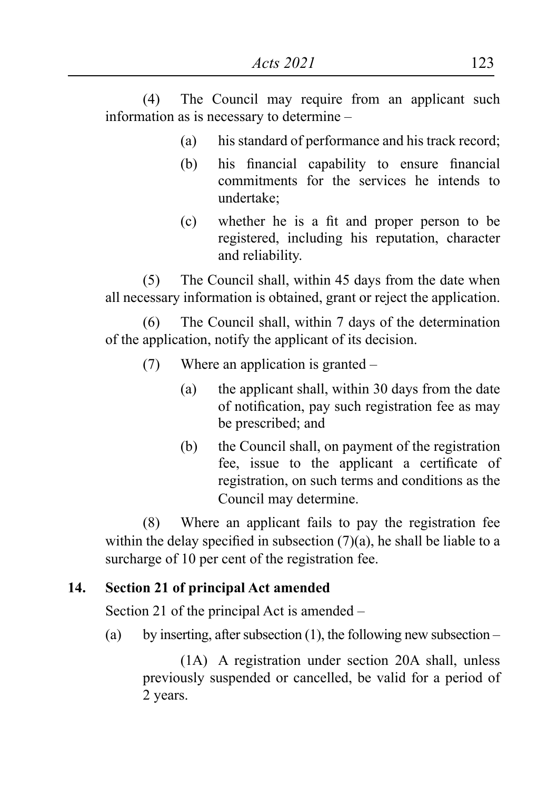(4) The Council may require from an applicant such information as is necessary to determine –

- (a) his standard of performance and his track record;
- (b) his financial capability to ensure financial commitments for the services he intends to undertake;
- (c) whether he is a fit and proper person to be registered, including his reputation, character and reliability.

(5) The Council shall, within 45 days from the date when all necessary information is obtained, grant or reject the application.

(6) The Council shall, within 7 days of the determination of the application, notify the applicant of its decision.

- (7) Where an application is granted  $-$ 
	- (a) the applicant shall, within 30 days from the date of notification, pay such registration fee as may be prescribed; and
	- (b) the Council shall, on payment of the registration fee, issue to the applicant a certificate of registration, on such terms and conditions as the Council may determine.

(8) Where an applicant fails to pay the registration fee within the delay specified in subsection  $(7)(a)$ , he shall be liable to a surcharge of 10 per cent of the registration fee.

# **14. Section 21 of principal Act amended**

Section 21 of the principal Act is amended –

(a) by inserting, after subsection (1), the following new subsection –

(1A) A registration under section 20A shall, unless previously suspended or cancelled, be valid for a period of 2 years.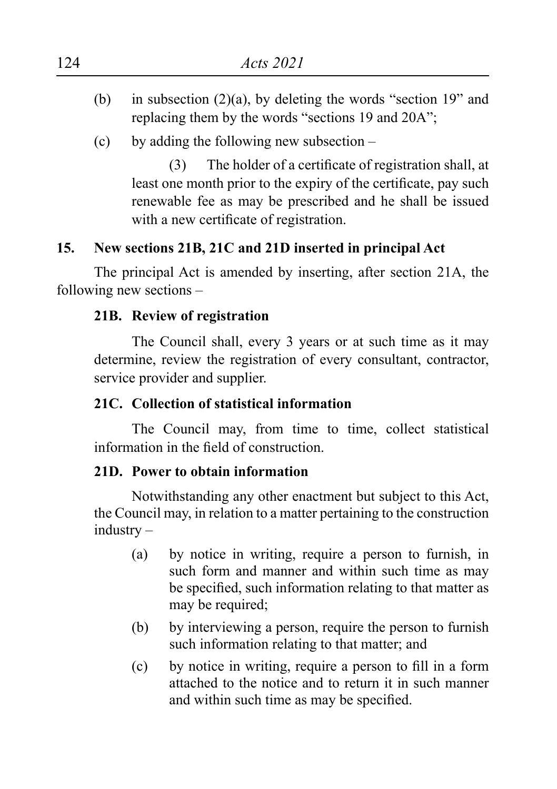- (b) in subsection  $(2)(a)$ , by deleting the words "section 19" and replacing them by the words "sections 19 and 20A";
- (c) by adding the following new subsection  $-$

(3) The holder of a certificate of registration shall, at least one month prior to the expiry of the certificate, pay such renewable fee as may be prescribed and he shall be issued with a new certificate of registration.

# **15. New sections 21B, 21C and 21D inserted in principal Act**

The principal Act is amended by inserting, after section 21A, the following new sections –

#### **21B. Review of registration**

The Council shall, every 3 years or at such time as it may determine, review the registration of every consultant, contractor, service provider and supplier.

#### **21C. Collection of statistical information**

The Council may, from time to time, collect statistical information in the field of construction.

#### **21D. Power to obtain information**

Notwithstanding any other enactment but subject to this Act, the Council may, in relation to a matter pertaining to the construction industry –

- (a) by notice in writing, require a person to furnish, in such form and manner and within such time as may be specified, such information relating to that matter as may be required;
- (b) by interviewing a person, require the person to furnish such information relating to that matter; and
- (c) by notice in writing, require a person to fill in a form attached to the notice and to return it in such manner and within such time as may be specified.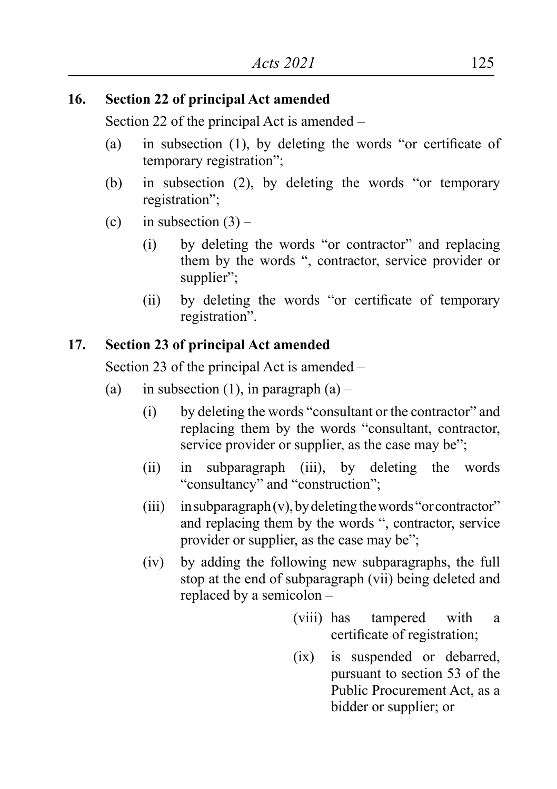#### **16. Section 22 of principal Act amended**

Section 22 of the principal Act is amended –

- (a) in subsection  $(1)$ , by deleting the words "or certificate of temporary registration";
- (b) in subsection (2), by deleting the words "or temporary registration";
- (c) in subsection  $(3)$ 
	- (i) by deleting the words "or contractor" and replacing them by the words ", contractor, service provider or supplier";
	- (ii) by deleting the words "or certificate of temporary registration".

# **17. Section 23 of principal Act amended**

Section 23 of the principal Act is amended –

- (a) in subsection (1), in paragraph  $(a)$ 
	- (i) by deleting the words "consultant or the contractor" and replacing them by the words "consultant, contractor, service provider or supplier, as the case may be";
	- (ii) in subparagraph (iii), by deleting the words "consultancy" and "construction";
	- (iii) in subparagraph(v), by deleting the words "or contractor" and replacing them by the words ", contractor, service provider or supplier, as the case may be";
	- (iv) by adding the following new subparagraphs, the full stop at the end of subparagraph (vii) being deleted and replaced by a semicolon –
		- (viii) has tampered with a certificate of registration;
		- (ix) is suspended or debarred, pursuant to section 53 of the Public Procurement Act, as a bidder or supplier; or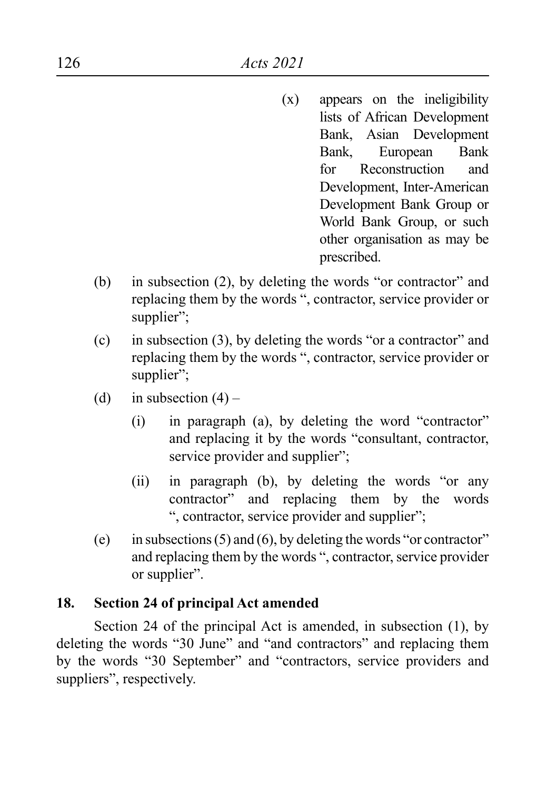- $(x)$  appears on the ineligibility lists of African Development Bank, Asian Development Bank, European Bank for Reconstruction and Development, Inter-American Development Bank Group or World Bank Group, or such other organisation as may be prescribed.
- (b) in subsection  $(2)$ , by deleting the words "or contractor" and replacing them by the words ", contractor, service provider or supplier";
- (c) in subsection (3), by deleting the words "or a contractor" and replacing them by the words ", contractor, service provider or supplier":
- (d) in subsection  $(4)$ 
	- $(i)$  in paragraph  $(a)$ , by deleting the word "contractor" and replacing it by the words "consultant, contractor, service provider and supplier";
	- (ii) in paragraph (b), by deleting the words "or any contractor" and replacing them by the words ", contractor, service provider and supplier";
- (e) in subsections  $(5)$  and  $(6)$ , by deleting the words "or contractor" and replacing them by the words ", contractor, service provider or supplier".

#### **18. Section 24 of principal Act amended**

Section 24 of the principal Act is amended, in subsection (1), by deleting the words "30 June" and "and contractors" and replacing them by the words "30 September" and "contractors, service providers and suppliers", respectively.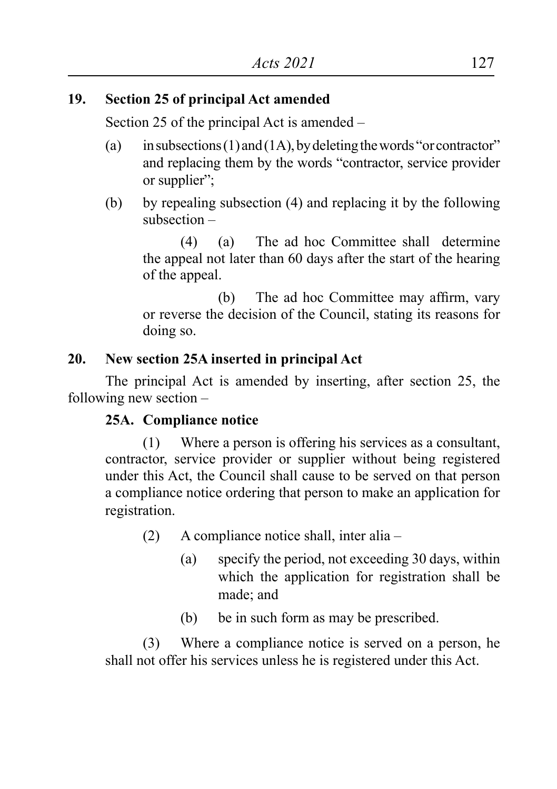# **19. Section 25 of principal Act amended**

Section 25 of the principal Act is amended –

- (a) in subsections (1) and (1A), by deleting the words "or contractor" and replacing them by the words "contractor, service provider or supplier";
- (b) by repealing subsection (4) and replacing it by the following subsection –

(4) (a) The ad hoc Committee shall determine the appeal not later than 60 days after the start of the hearing of the appeal.

 (b) The ad hoc Committee may affirm, vary or reverse the decision of the Council, stating its reasons for doing so.

# **20. New section 25A inserted in principal Act**

The principal Act is amended by inserting, after section 25, the following new section –

# **25A. Compliance notice**

 $(1)$  Where a person is offering his services as a consultant, contractor, service provider or supplier without being registered under this Act, the Council shall cause to be served on that person a compliance notice ordering that person to make an application for registration.

(2) A compliance notice shall, inter alia –

- (a) specify the period, not exceeding 30 days, within which the application for registration shall be made; and
- (b) be in such form as may be prescribed.

(3) Where a compliance notice is served on a person, he shall not offer his services unless he is registered under this Act.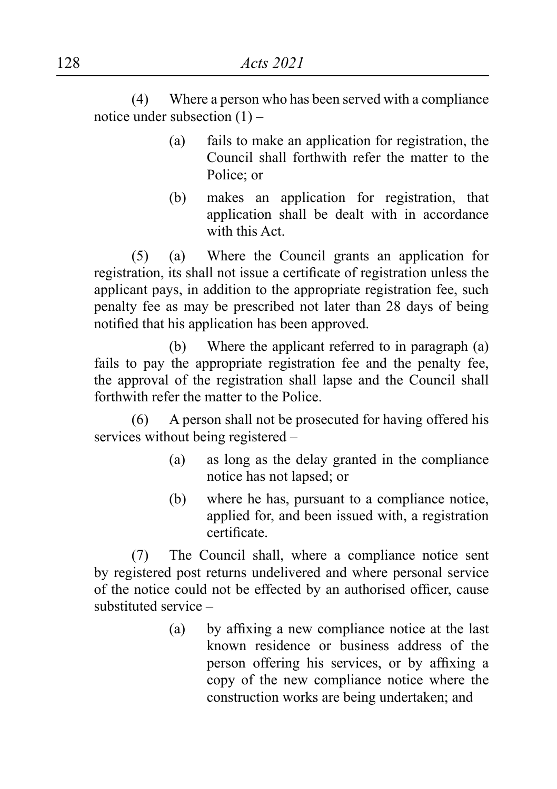(4) Where a person who has been served with a compliance notice under subsection (1) –

- (a) fails to make an application for registration, the Council shall forthwith refer the matter to the Police; or
- (b) makes an application for registration, that application shall be dealt with in accordance with this Act.

(5) (a) Where the Council grants an application for registration, its shall not issue a certificate of registration unless the applicant pays, in addition to the appropriate registration fee, such penalty fee as may be prescribed not later than 28 days of being notified that his application has been approved.

(b) Where the applicant referred to in paragraph (a) fails to pay the appropriate registration fee and the penalty fee, the approval of the registration shall lapse and the Council shall forthwith refer the matter to the Police.

(6) A person shall not be prosecuted for having offered his services without being registered –

- (a) as long as the delay granted in the compliance notice has not lapsed; or
- (b) where he has, pursuant to a compliance notice, applied for, and been issued with, a registration certificate.

(7) The Council shall, where a compliance notice sent by registered post returns undelivered and where personal service of the notice could not be effected by an authorised officer, cause substituted service –

> (a) by affixing a new compliance notice at the last known residence or business address of the person offering his services, or by affixing a copy of the new compliance notice where the construction works are being undertaken; and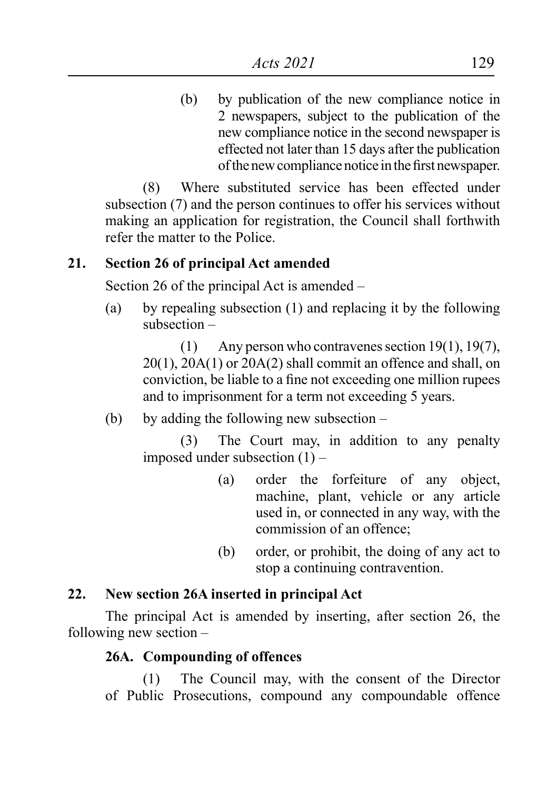(b) by publication of the new compliance notice in 2 newspapers, subject to the publication of the new compliance notice in the second newspaper is effected not later than 15 days after the publication ofthe newcompliance notice in thefirst newspaper.

(8) Where substituted service has been effected under subsection (7) and the person continues to offer his services without making an application for registration, the Council shall forthwith refer the matter to the Police.

#### **21. Section 26 of principal Act amended**

Section 26 of the principal Act is amended –

(a) by repealing subsection  $(1)$  and replacing it by the following subsection –

(1) Any person who contravenes section 19(1), 19(7), 20(1), 20A(1) or 20A(2) shall commit an offence and shall, on conviction, be liable to a fine not exceeding one million rupees and to imprisonment for a term not exceeding 5 years.

(b) by adding the following new subsection  $-$ 

(3) The Court may, in addition to any penalty imposed under subsection  $(1)$  –

- (a) order the forfeiture of any object, machine, plant, vehicle or any article used in, or connected in any way, with the commission of an offence;
- (b) order, or prohibit, the doing of any act to stop a continuing contravention.

#### **22. New section 26A inserted in principal Act**

The principal Act is amended by inserting, after section 26, the following new section –

# **26A. Compounding of offences**

(1) The Council may, with the consent of the Director of Public Prosecutions, compound any compoundable offence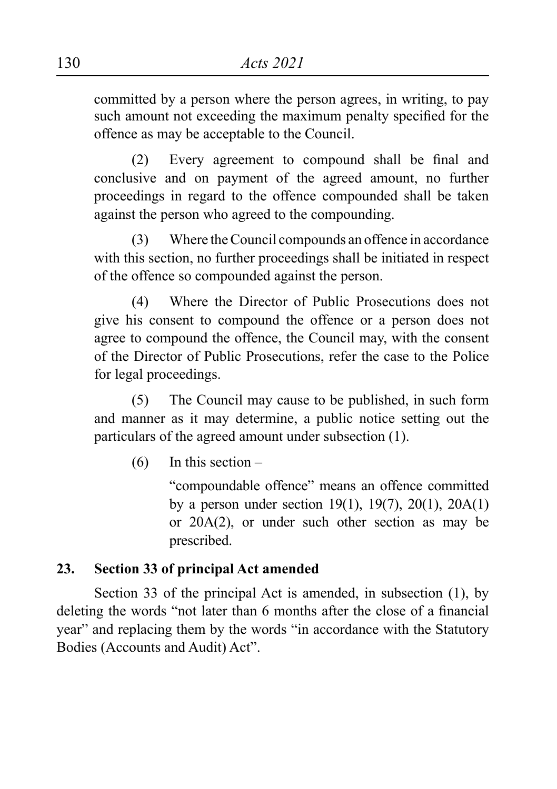committed by a person where the person agrees, in writing, to pay such amount not exceeding the maximum penalty specified for the offence as may be acceptable to the Council.

(2) Every agreement to compound shall be final and conclusive and on payment of the agreed amount, no further proceedings in regard to the offence compounded shall be taken against the person who agreed to the compounding.

(3) Where the Council compounds an offence in accordance with this section, no further proceedings shall be initiated in respect of the offence so compounded against the person.

(4) Where the Director of Public Prosecutions does not give his consent to compound the offence or a person does not agree to compound the offence, the Council may, with the consent of the Director of Public Prosecutions, refer the case to the Police for legal proceedings.

(5) The Council may cause to be published, in such form and manner as it may determine, a public notice setting out the particulars of the agreed amount under subsection (1).

 $(6)$  In this section –

"compoundable offence" means an offence committed by a person under section 19(1), 19(7), 20(1), 20A(1) or 20A(2), or under such other section as may be prescribed.

# **23. Section 33 of principal Act amended**

Section 33 of the principal Act is amended, in subsection (1), by deleting the words "not later than 6 months after the close of a financial year" and replacing them by the words "in accordance with the Statutory Bodies (Accounts and Audit) Act".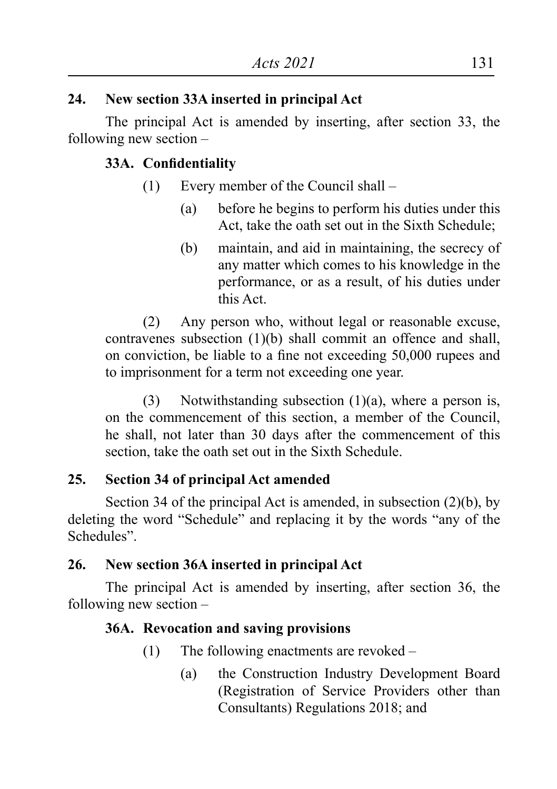# **24. New section 33A inserted in principal Act**

The principal Act is amended by inserting, after section 33, the following new section –

# **33A. Confidentiality**

- (1) Every member of the Council shall
	- (a) before he begins to perform his duties under this Act, take the oath set out in the Sixth Schedule;
	- (b) maintain, and aid in maintaining, the secrecy of any matter which comes to his knowledge in the performance, or as a result, of his duties under this Act.

(2) Any person who, without legal or reasonable excuse, contravenes subsection (1)(b) shall commit an offence and shall, on conviction, be liable to a fine not exceeding 50,000 rupees and to imprisonment for a term not exceeding one year.

(3) Notwithstanding subsection  $(1)(a)$ , where a person is, on the commencement of this section, a member of the Council, he shall, not later than 30 days after the commencement of this section, take the oath set out in the Sixth Schedule.

# **25. Section 34 of principal Act amended**

Section 34 of the principal Act is amended, in subsection (2)(b), by deleting the word "Schedule" and replacing it by the words "any of the Schedules".

# **26. New section 36A inserted in principal Act**

The principal Act is amended by inserting, after section 36, the following new section –

# **36A. Revocation and saving provisions**

- $(1)$  The following enactments are revoked
	- (a) the Construction Industry Development Board (Registration of Service Providers other than Consultants) Regulations 2018; and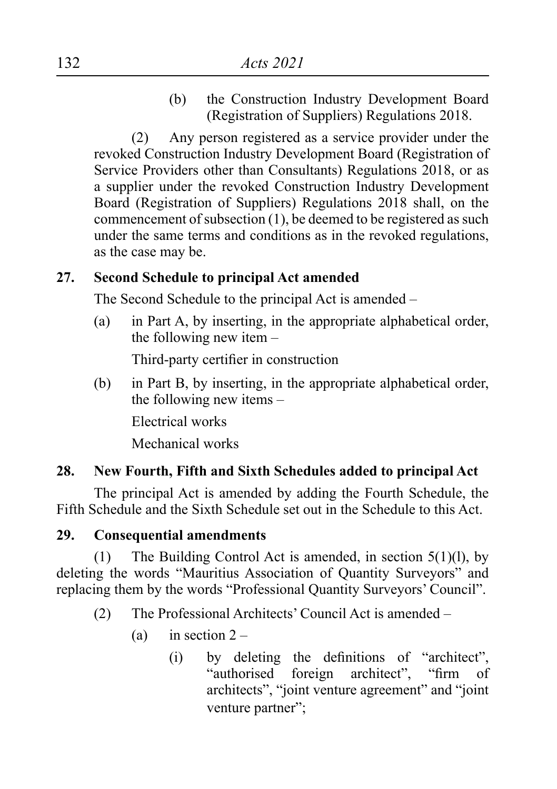(b) the Construction Industry Development Board (Registration of Suppliers) Regulations 2018.

(2) Any person registered as a service provider under the revoked Construction Industry Development Board (Registration of Service Providers other than Consultants) Regulations 2018, or as a supplier under the revoked Construction Industry Development Board (Registration of Suppliers) Regulations 2018 shall, on the commencement of subsection  $(1)$ , be deemed to be registered as such under the same terms and conditions as in the revoked regulations, as the case may be.

#### **27. Second Schedule to principal Act amended**

The Second Schedule to the principal Act is amended –

(a) in Part A, by inserting, in the appropriate alphabetical order, the following new item –

Third-party certifier in construction

(b) in Part B, by inserting, in the appropriate alphabetical order, the following new items –

Electrical works

Mechanical works

# **28. New Fourth, Fifth and Sixth Schedules added to principal Act**

The principal Act is amended by adding the Fourth Schedule, the Fifth Schedule and the Sixth Schedule set out in the Schedule to this Act.

# **29. Consequential amendments**

(1) The Building Control Act is amended, in section  $5(1)(l)$ , by deleting the words "Mauritius Association of Quantity Surveyors" and replacing them by the words "Professional Quantity Surveyors' Council".

- (2) The Professional Architects' Council Act is amended
	- (a) in section  $2 -$ 
		- (i) by deleting the definitions of "architect", "authorised foreign architect", "firm of architects", "joint venture agreement" and "joint venture partner";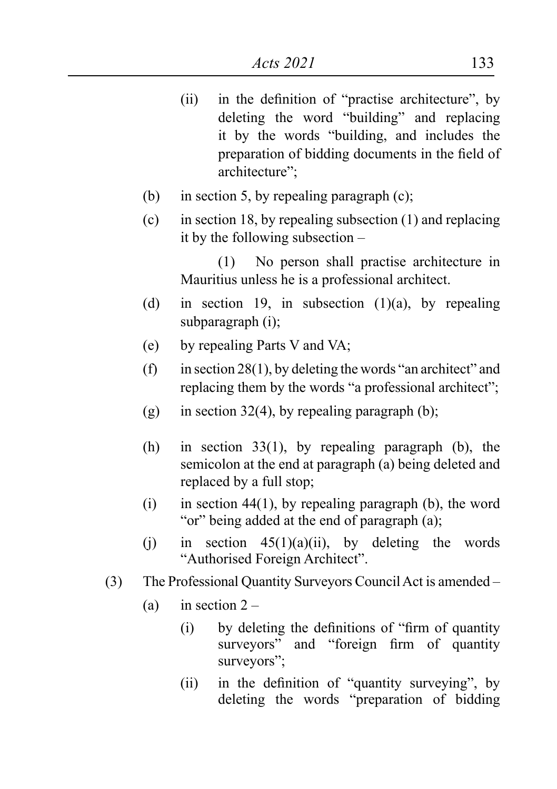- (ii) in the definition of "practise architecture", by deleting the word "building" and replacing it by the words "building, and includes the preparation of bidding documents in the field of architecture";
- (b) in section 5, by repealing paragraph  $(c)$ ;
- (c) in section 18, by repealing subsection  $(1)$  and replacing it by the following subsection –

(1) No person shall practise architecture in Mauritius unless he is a professional architect.

- (d) in section 19, in subsection  $(1)(a)$ , by repealing subparagraph (i);
- (e) by repealing Parts V and VA;
- (f) in section  $28(1)$ , by deleting the words "an architect" and replacing them by the words "a professional architect";
- $(g)$  in section 32(4), by repealing paragraph (b);
- (h) in section  $33(1)$ , by repealing paragraph (b), the semicolon at the end at paragraph (a) being deleted and replaced by a full stop;
- (i) in section 44(1), by repealing paragraph (b), the word "or" being added at the end of paragraph (a);
- (j) in section  $45(1)(a)(ii)$ , by deleting the words "Authorised Foreign Architect".
- (3) The Professional Quantity Surveyors Council Act is amended
	- (a) in section  $2 -$ 
		- $(i)$  by deleting the definitions of "firm of quantity" surveyors" and "foreign firm of quantity" surveyors";
		- (ii) in the definition of "quantity surveying", by deleting the words "preparation of bidding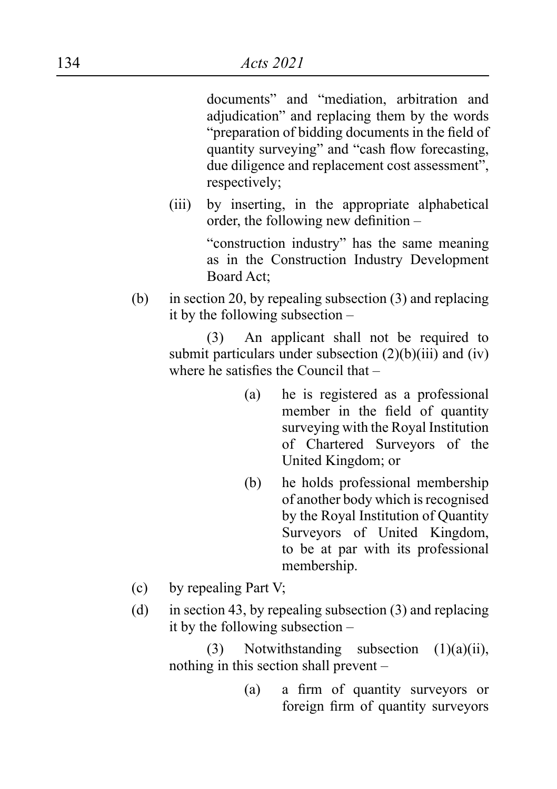documents" and "mediation, arbitration and adjudication" and replacing them by the words "preparation of bidding documents in the field of quantity surveying" and "cash flow forecasting, due diligence and replacement cost assessment", respectively;

(iii) by inserting, in the appropriate alphabetical order, the following new definition –

> "construction industry" has the same meaning as in the Construction Industry Development Board Act;

(b) in section 20, by repealing subsection  $(3)$  and replacing it by the following subsection –

> (3) An applicant shall not be required to submit particulars under subsection  $(2)(b)(iii)$  and  $(iv)$ where he satisfies the Council that –

- (a) he is registered as a professional member in the field of quantity surveying with the Royal Institution of Chartered Surveyors of the United Kingdom; or
- (b) he holds professional membership of another body which isrecognised by the Royal Institution of Quantity Surveyors of United Kingdom, to be at par with its professional membership.
- (c) by repealing Part V;
- (d) in section 43, by repealing subsection  $(3)$  and replacing it by the following subsection –

(3) Notwithstanding subsection  $(1)(a)(ii)$ , nothing in this section shall prevent –

> (a) a firm of quantity surveyors or foreign firm of quantity surveyors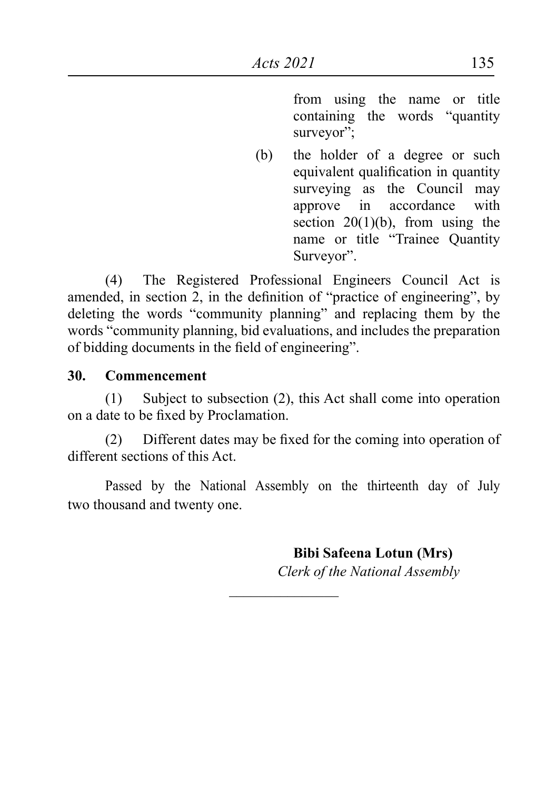from using the name or title containing the words "quantity surveyor":

(b) the holder of a degree or such equivalent qualification in quantity surveying as the Council may approve in accordance with section  $20(1)(b)$ , from using the name or title "Trainee Quantity Surveyor".

(4) The Registered Professional Engineers Council Act is amended, in section 2, in the definition of "practice of engineering", by deleting the words "community planning" and replacing them by the words "community planning, bid evaluations, and includes the preparation of bidding documents in the field of engineering".

#### **30. Commencement**

 $(1)$  Subject to subsection  $(2)$ , this Act shall come into operation on a date to be fixed by Proclamation.

(2) Different dates may be fixed for the coming into operation of different sections of this Act.

Passed by the National Assembly on the thirteenth day of July two thousand and twenty one.

 $\overline{\phantom{a}}$  , where  $\overline{\phantom{a}}$ 

 **Bibi Safeena Lotun (Mrs)** *Clerk of the National Assembly*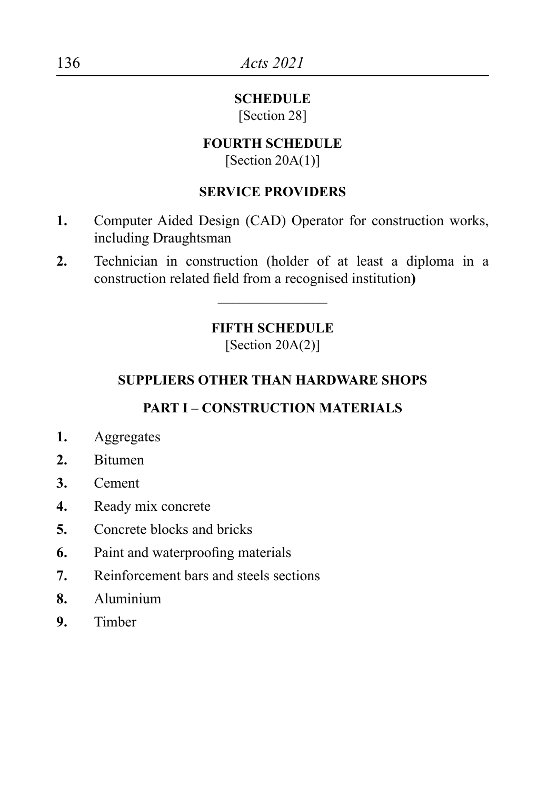#### **SCHEDULE** [Section 28]

#### **FOURTH SCHEDULE**

[Section  $20A(1)$ ]

#### **SERVICE PROVIDERS**

- **1.** Computer Aided Design (CAD) Operator for construction works, including Draughtsman
- **2.** Technician in construction (holder of at least a diploma in a construction related field from a recognised institution**)**

# **FIFTH SCHEDULE**

 $\overline{\phantom{a}}$  , where  $\overline{\phantom{a}}$ 

 $[Section 20A(2)]$ 

# **SUPPLIERS OTHER THAN HARDWARE SHOPS**

# **PART I – CONSTRUCTION MATERIALS**

- **1.** Aggregates
- **2.** Bitumen
- **3.** Cement
- **4.** Ready mix concrete
- **5.** Concrete blocks and bricks
- **6.** Paint and waterproofing materials
- **7.** Reinforcement bars and steels sections
- **8.** Aluminium
- **9.** Timber